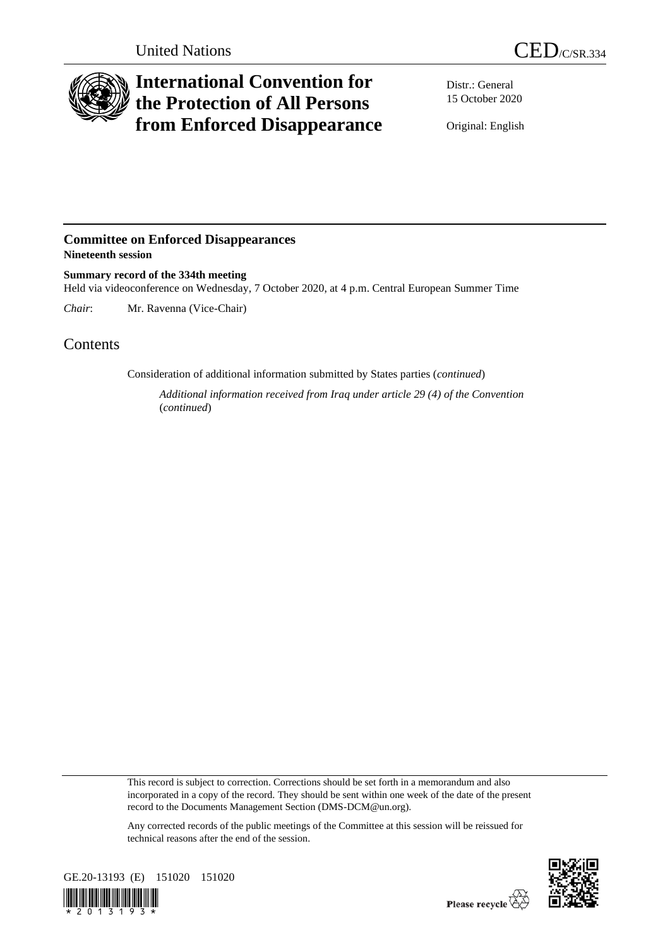

## **International Convention for the Protection of All Persons from Enforced Disappearance**

Distr.: General 15 October 2020

Original: English

## **Committee on Enforced Disappearances Nineteenth session**

**Summary record of the 334th meeting** Held via videoconference on Wednesday, 7 October 2020, at 4 p.m. Central European Summer Time

*Chair*: Mr. Ravenna (Vice-Chair)

## Contents

Consideration of additional information submitted by States parties (*continued*)

*Additional information received from Iraq under article 29 (4) of the Convention*  (*continued*)

This record is subject to correction. Corrections should be set forth in a memorandum and also incorporated in a copy of the record. They should be sent within one week of the date of the present record to the Documents Management Section (DMS-DCM@un.org).

Any corrected records of the public meetings of the Committee at this session will be reissued for technical reasons after the end of the session.



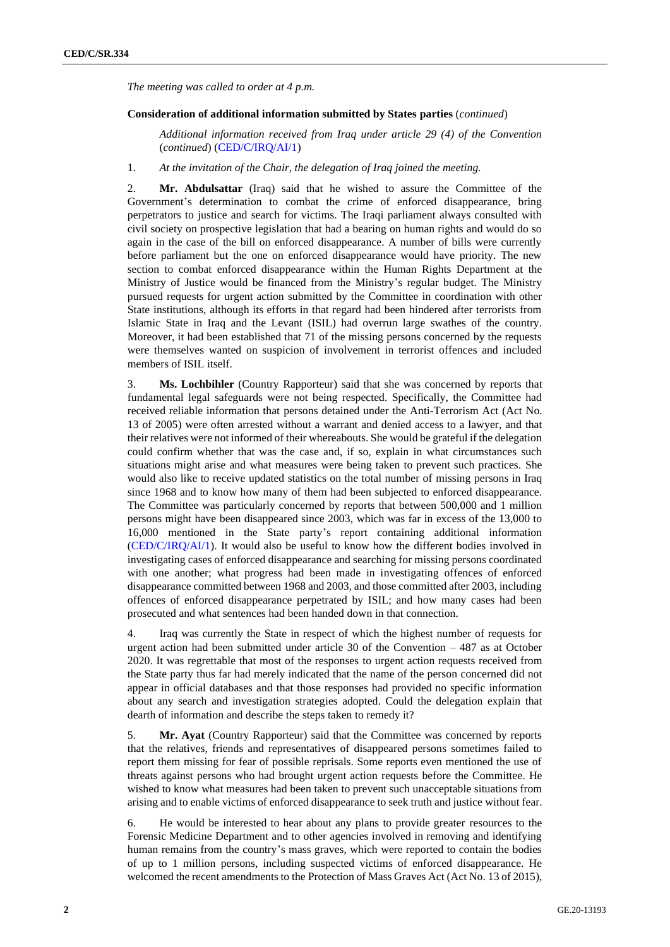*The meeting was called to order at 4 p.m.*

## **Consideration of additional information submitted by States parties** (*continued*)

*Additional information received from Iraq under article 29 (4) of the Convention*  (*continued*) [\(CED/C/IRQ/AI/1\)](http://undocs.org/en/CED/C/IRQ/AI/1)

1. *At the invitation of the Chair, the delegation of Iraq joined the meeting.*

2. **Mr. Abdulsattar** (Iraq) said that he wished to assure the Committee of the Government's determination to combat the crime of enforced disappearance, bring perpetrators to justice and search for victims. The Iraqi parliament always consulted with civil society on prospective legislation that had a bearing on human rights and would do so again in the case of the bill on enforced disappearance. A number of bills were currently before parliament but the one on enforced disappearance would have priority. The new section to combat enforced disappearance within the Human Rights Department at the Ministry of Justice would be financed from the Ministry's regular budget. The Ministry pursued requests for urgent action submitted by the Committee in coordination with other State institutions, although its efforts in that regard had been hindered after terrorists from Islamic State in Iraq and the Levant (ISIL) had overrun large swathes of the country. Moreover, it had been established that 71 of the missing persons concerned by the requests were themselves wanted on suspicion of involvement in terrorist offences and included members of ISIL itself.

3. **Ms. Lochbihler** (Country Rapporteur) said that she was concerned by reports that fundamental legal safeguards were not being respected. Specifically, the Committee had received reliable information that persons detained under the Anti-Terrorism Act (Act No. 13 of 2005) were often arrested without a warrant and denied access to a lawyer, and that their relatives were not informed of their whereabouts. She would be grateful if the delegation could confirm whether that was the case and, if so, explain in what circumstances such situations might arise and what measures were being taken to prevent such practices. She would also like to receive updated statistics on the total number of missing persons in Iraq since 1968 and to know how many of them had been subjected to enforced disappearance. The Committee was particularly concerned by reports that between 500,000 and 1 million persons might have been disappeared since 2003, which was far in excess of the 13,000 to 16,000 mentioned in the State party's report containing additional information [\(CED/C/IRQ/AI/1\)](http://undocs.org/en/CED/C/IRQ/AI/1). It would also be useful to know how the different bodies involved in investigating cases of enforced disappearance and searching for missing persons coordinated with one another; what progress had been made in investigating offences of enforced disappearance committed between 1968 and 2003, and those committed after 2003, including offences of enforced disappearance perpetrated by ISIL; and how many cases had been prosecuted and what sentences had been handed down in that connection.

4. Iraq was currently the State in respect of which the highest number of requests for urgent action had been submitted under article 30 of the Convention – 487 as at October 2020. It was regrettable that most of the responses to urgent action requests received from the State party thus far had merely indicated that the name of the person concerned did not appear in official databases and that those responses had provided no specific information about any search and investigation strategies adopted. Could the delegation explain that dearth of information and describe the steps taken to remedy it?

5. **Mr. Ayat** (Country Rapporteur) said that the Committee was concerned by reports that the relatives, friends and representatives of disappeared persons sometimes failed to report them missing for fear of possible reprisals. Some reports even mentioned the use of threats against persons who had brought urgent action requests before the Committee. He wished to know what measures had been taken to prevent such unacceptable situations from arising and to enable victims of enforced disappearance to seek truth and justice without fear.

6. He would be interested to hear about any plans to provide greater resources to the Forensic Medicine Department and to other agencies involved in removing and identifying human remains from the country's mass graves, which were reported to contain the bodies of up to 1 million persons, including suspected victims of enforced disappearance. He welcomed the recent amendments to the Protection of Mass Graves Act (Act No. 13 of 2015),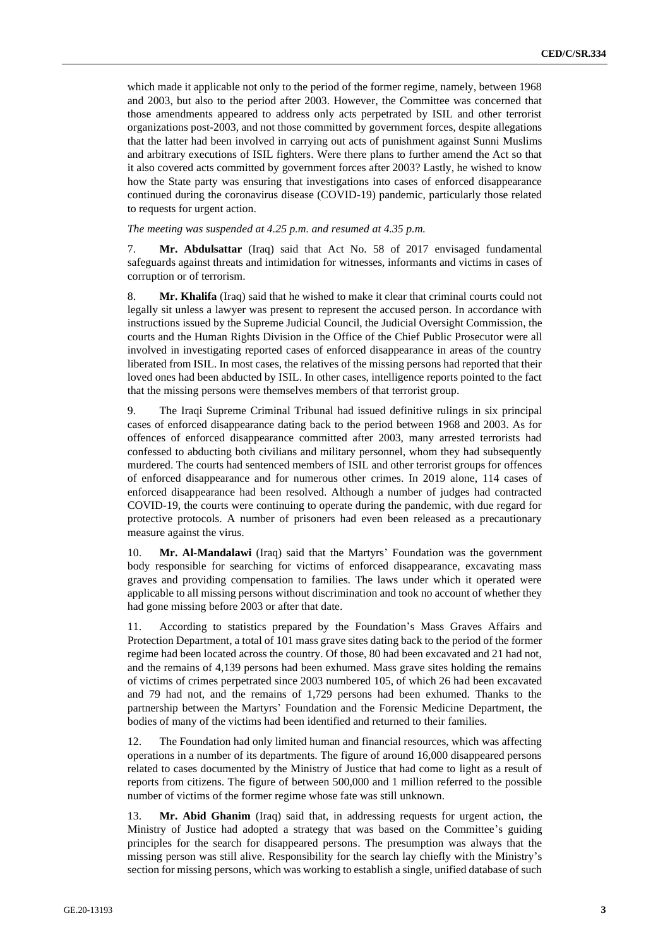which made it applicable not only to the period of the former regime, namely, between 1968 and 2003, but also to the period after 2003. However, the Committee was concerned that those amendments appeared to address only acts perpetrated by ISIL and other terrorist organizations post-2003, and not those committed by government forces, despite allegations that the latter had been involved in carrying out acts of punishment against Sunni Muslims and arbitrary executions of ISIL fighters. Were there plans to further amend the Act so that it also covered acts committed by government forces after 2003? Lastly, he wished to know how the State party was ensuring that investigations into cases of enforced disappearance continued during the coronavirus disease (COVID-19) pandemic, particularly those related to requests for urgent action.

*The meeting was suspended at 4.25 p.m. and resumed at 4.35 p.m.*

7. **Mr. Abdulsattar** (Iraq) said that Act No. 58 of 2017 envisaged fundamental safeguards against threats and intimidation for witnesses, informants and victims in cases of corruption or of terrorism.

8. **Mr. Khalifa** (Iraq) said that he wished to make it clear that criminal courts could not legally sit unless a lawyer was present to represent the accused person. In accordance with instructions issued by the Supreme Judicial Council, the Judicial Oversight Commission, the courts and the Human Rights Division in the Office of the Chief Public Prosecutor were all involved in investigating reported cases of enforced disappearance in areas of the country liberated from ISIL. In most cases, the relatives of the missing persons had reported that their loved ones had been abducted by ISIL. In other cases, intelligence reports pointed to the fact that the missing persons were themselves members of that terrorist group.

9. The Iraqi Supreme Criminal Tribunal had issued definitive rulings in six principal cases of enforced disappearance dating back to the period between 1968 and 2003. As for offences of enforced disappearance committed after 2003, many arrested terrorists had confessed to abducting both civilians and military personnel, whom they had subsequently murdered. The courts had sentenced members of ISIL and other terrorist groups for offences of enforced disappearance and for numerous other crimes. In 2019 alone, 114 cases of enforced disappearance had been resolved. Although a number of judges had contracted COVID-19, the courts were continuing to operate during the pandemic, with due regard for protective protocols. A number of prisoners had even been released as a precautionary measure against the virus.

10. **Mr. Al-Mandalawi** (Iraq) said that the Martyrs' Foundation was the government body responsible for searching for victims of enforced disappearance, excavating mass graves and providing compensation to families. The laws under which it operated were applicable to all missing persons without discrimination and took no account of whether they had gone missing before 2003 or after that date.

11. According to statistics prepared by the Foundation's Mass Graves Affairs and Protection Department, a total of 101 mass grave sites dating back to the period of the former regime had been located across the country. Of those, 80 had been excavated and 21 had not, and the remains of 4,139 persons had been exhumed. Mass grave sites holding the remains of victims of crimes perpetrated since 2003 numbered 105, of which 26 had been excavated and 79 had not, and the remains of 1,729 persons had been exhumed. Thanks to the partnership between the Martyrs' Foundation and the Forensic Medicine Department, the bodies of many of the victims had been identified and returned to their families.

12. The Foundation had only limited human and financial resources, which was affecting operations in a number of its departments. The figure of around 16,000 disappeared persons related to cases documented by the Ministry of Justice that had come to light as a result of reports from citizens. The figure of between 500,000 and 1 million referred to the possible number of victims of the former regime whose fate was still unknown.

13. **Mr. Abid Ghanim** (Iraq) said that, in addressing requests for urgent action, the Ministry of Justice had adopted a strategy that was based on the Committee's guiding principles for the search for disappeared persons. The presumption was always that the missing person was still alive. Responsibility for the search lay chiefly with the Ministry's section for missing persons, which was working to establish a single, unified database of such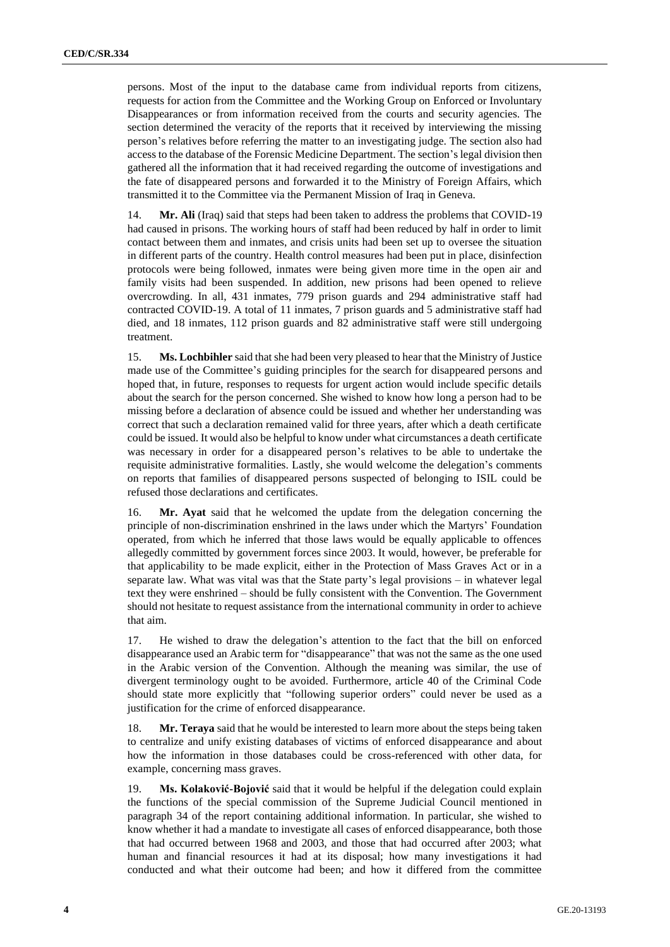persons. Most of the input to the database came from individual reports from citizens, requests for action from the Committee and the Working Group on Enforced or Involuntary Disappearances or from information received from the courts and security agencies. The section determined the veracity of the reports that it received by interviewing the missing person's relatives before referring the matter to an investigating judge. The section also had access to the database of the Forensic Medicine Department. The section's legal division then gathered all the information that it had received regarding the outcome of investigations and the fate of disappeared persons and forwarded it to the Ministry of Foreign Affairs, which transmitted it to the Committee via the Permanent Mission of Iraq in Geneva.

14. **Mr. Ali** (Iraq) said that steps had been taken to address the problems that COVID-19 had caused in prisons. The working hours of staff had been reduced by half in order to limit contact between them and inmates, and crisis units had been set up to oversee the situation in different parts of the country. Health control measures had been put in place, disinfection protocols were being followed, inmates were being given more time in the open air and family visits had been suspended. In addition, new prisons had been opened to relieve overcrowding. In all, 431 inmates, 779 prison guards and 294 administrative staff had contracted COVID-19. A total of 11 inmates, 7 prison guards and 5 administrative staff had died, and 18 inmates, 112 prison guards and 82 administrative staff were still undergoing treatment.

15. **Ms. Lochbihler** said that she had been very pleased to hear that the Ministry of Justice made use of the Committee's guiding principles for the search for disappeared persons and hoped that, in future, responses to requests for urgent action would include specific details about the search for the person concerned. She wished to know how long a person had to be missing before a declaration of absence could be issued and whether her understanding was correct that such a declaration remained valid for three years, after which a death certificate could be issued. It would also be helpful to know under what circumstances a death certificate was necessary in order for a disappeared person's relatives to be able to undertake the requisite administrative formalities. Lastly, she would welcome the delegation's comments on reports that families of disappeared persons suspected of belonging to ISIL could be refused those declarations and certificates.

16. **Mr. Ayat** said that he welcomed the update from the delegation concerning the principle of non-discrimination enshrined in the laws under which the Martyrs' Foundation operated, from which he inferred that those laws would be equally applicable to offences allegedly committed by government forces since 2003. It would, however, be preferable for that applicability to be made explicit, either in the Protection of Mass Graves Act or in a separate law. What was vital was that the State party's legal provisions – in whatever legal text they were enshrined – should be fully consistent with the Convention. The Government should not hesitate to request assistance from the international community in order to achieve that aim.

17. He wished to draw the delegation's attention to the fact that the bill on enforced disappearance used an Arabic term for "disappearance" that was not the same as the one used in the Arabic version of the Convention. Although the meaning was similar, the use of divergent terminology ought to be avoided. Furthermore, article 40 of the Criminal Code should state more explicitly that "following superior orders" could never be used as a justification for the crime of enforced disappearance.

18. **Mr. Teraya** said that he would be interested to learn more about the steps being taken to centralize and unify existing databases of victims of enforced disappearance and about how the information in those databases could be cross-referenced with other data, for example, concerning mass graves.

19. **Ms. Kolaković-Bojović** said that it would be helpful if the delegation could explain the functions of the special commission of the Supreme Judicial Council mentioned in paragraph 34 of the report containing additional information. In particular, she wished to know whether it had a mandate to investigate all cases of enforced disappearance, both those that had occurred between 1968 and 2003, and those that had occurred after 2003; what human and financial resources it had at its disposal; how many investigations it had conducted and what their outcome had been; and how it differed from the committee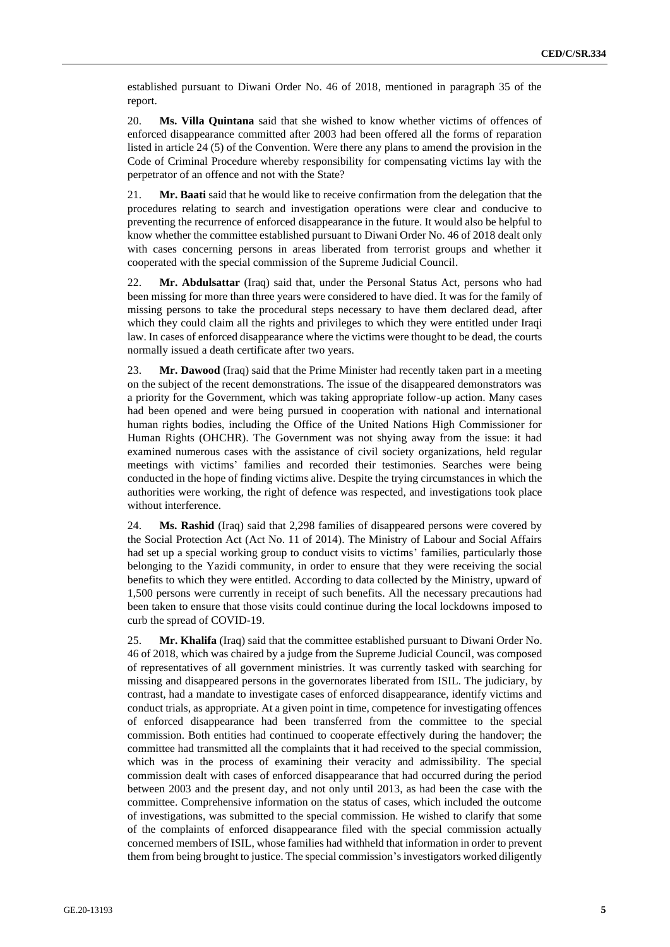established pursuant to Diwani Order No. 46 of 2018, mentioned in paragraph 35 of the report.

20. **Ms. Villa Quintana** said that she wished to know whether victims of offences of enforced disappearance committed after 2003 had been offered all the forms of reparation listed in article 24 (5) of the Convention. Were there any plans to amend the provision in the Code of Criminal Procedure whereby responsibility for compensating victims lay with the perpetrator of an offence and not with the State?

21. **Mr. Baati** said that he would like to receive confirmation from the delegation that the procedures relating to search and investigation operations were clear and conducive to preventing the recurrence of enforced disappearance in the future. It would also be helpful to know whether the committee established pursuant to Diwani Order No. 46 of 2018 dealt only with cases concerning persons in areas liberated from terrorist groups and whether it cooperated with the special commission of the Supreme Judicial Council.

22. **Mr. Abdulsattar** (Iraq) said that, under the Personal Status Act, persons who had been missing for more than three years were considered to have died. It was for the family of missing persons to take the procedural steps necessary to have them declared dead, after which they could claim all the rights and privileges to which they were entitled under Iraqi law. In cases of enforced disappearance where the victims were thought to be dead, the courts normally issued a death certificate after two years.

23. **Mr. Dawood** (Iraq) said that the Prime Minister had recently taken part in a meeting on the subject of the recent demonstrations. The issue of the disappeared demonstrators was a priority for the Government, which was taking appropriate follow-up action. Many cases had been opened and were being pursued in cooperation with national and international human rights bodies, including the Office of the United Nations High Commissioner for Human Rights (OHCHR). The Government was not shying away from the issue: it had examined numerous cases with the assistance of civil society organizations, held regular meetings with victims' families and recorded their testimonies. Searches were being conducted in the hope of finding victims alive. Despite the trying circumstances in which the authorities were working, the right of defence was respected, and investigations took place without interference.

24. **Ms. Rashid** (Iraq) said that 2,298 families of disappeared persons were covered by the Social Protection Act (Act No. 11 of 2014). The Ministry of Labour and Social Affairs had set up a special working group to conduct visits to victims' families, particularly those belonging to the Yazidi community, in order to ensure that they were receiving the social benefits to which they were entitled. According to data collected by the Ministry, upward of 1,500 persons were currently in receipt of such benefits. All the necessary precautions had been taken to ensure that those visits could continue during the local lockdowns imposed to curb the spread of COVID-19.

25. **Mr. Khalifa** (Iraq) said that the committee established pursuant to Diwani Order No. 46 of 2018, which was chaired by a judge from the Supreme Judicial Council, was composed of representatives of all government ministries. It was currently tasked with searching for missing and disappeared persons in the governorates liberated from ISIL. The judiciary, by contrast, had a mandate to investigate cases of enforced disappearance, identify victims and conduct trials, as appropriate. At a given point in time, competence for investigating offences of enforced disappearance had been transferred from the committee to the special commission. Both entities had continued to cooperate effectively during the handover; the committee had transmitted all the complaints that it had received to the special commission, which was in the process of examining their veracity and admissibility. The special commission dealt with cases of enforced disappearance that had occurred during the period between 2003 and the present day, and not only until 2013, as had been the case with the committee. Comprehensive information on the status of cases, which included the outcome of investigations, was submitted to the special commission. He wished to clarify that some of the complaints of enforced disappearance filed with the special commission actually concerned members of ISIL, whose families had withheld that information in order to prevent them from being brought to justice. The special commission's investigators worked diligently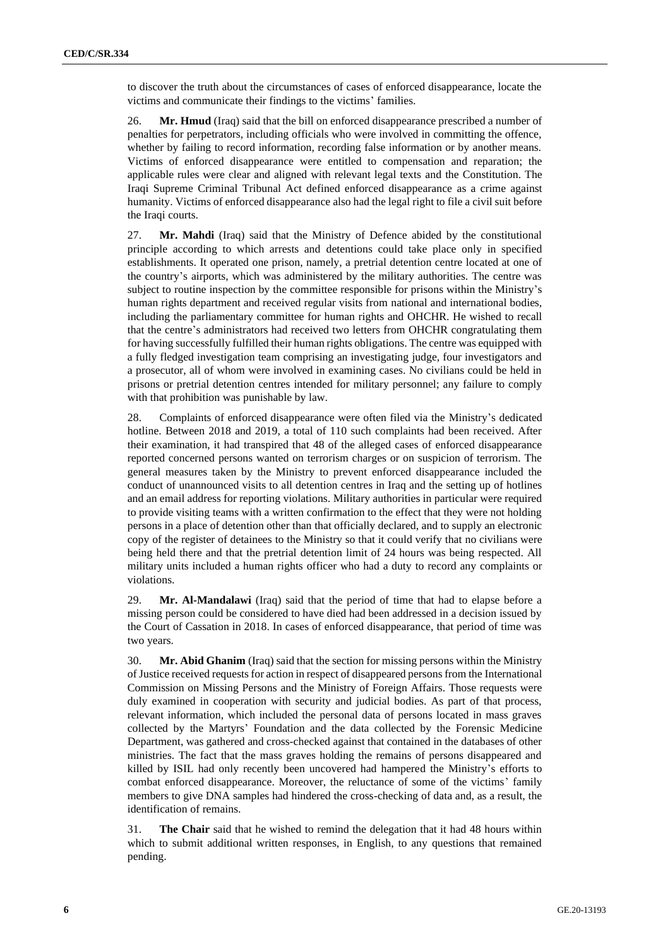to discover the truth about the circumstances of cases of enforced disappearance, locate the victims and communicate their findings to the victims' families.

26. **Mr. Hmud** (Iraq) said that the bill on enforced disappearance prescribed a number of penalties for perpetrators, including officials who were involved in committing the offence, whether by failing to record information, recording false information or by another means. Victims of enforced disappearance were entitled to compensation and reparation; the applicable rules were clear and aligned with relevant legal texts and the Constitution. The Iraqi Supreme Criminal Tribunal Act defined enforced disappearance as a crime against humanity. Victims of enforced disappearance also had the legal right to file a civil suit before the Iraqi courts.

27. **Mr. Mahdi** (Iraq) said that the Ministry of Defence abided by the constitutional principle according to which arrests and detentions could take place only in specified establishments. It operated one prison, namely, a pretrial detention centre located at one of the country's airports, which was administered by the military authorities. The centre was subject to routine inspection by the committee responsible for prisons within the Ministry's human rights department and received regular visits from national and international bodies, including the parliamentary committee for human rights and OHCHR. He wished to recall that the centre's administrators had received two letters from OHCHR congratulating them for having successfully fulfilled their human rights obligations. The centre was equipped with a fully fledged investigation team comprising an investigating judge, four investigators and a prosecutor, all of whom were involved in examining cases. No civilians could be held in prisons or pretrial detention centres intended for military personnel; any failure to comply with that prohibition was punishable by law.

28. Complaints of enforced disappearance were often filed via the Ministry's dedicated hotline. Between 2018 and 2019, a total of 110 such complaints had been received. After their examination, it had transpired that 48 of the alleged cases of enforced disappearance reported concerned persons wanted on terrorism charges or on suspicion of terrorism. The general measures taken by the Ministry to prevent enforced disappearance included the conduct of unannounced visits to all detention centres in Iraq and the setting up of hotlines and an email address for reporting violations. Military authorities in particular were required to provide visiting teams with a written confirmation to the effect that they were not holding persons in a place of detention other than that officially declared, and to supply an electronic copy of the register of detainees to the Ministry so that it could verify that no civilians were being held there and that the pretrial detention limit of 24 hours was being respected. All military units included a human rights officer who had a duty to record any complaints or violations.

29. **Mr. Al-Mandalawi** (Iraq) said that the period of time that had to elapse before a missing person could be considered to have died had been addressed in a decision issued by the Court of Cassation in 2018. In cases of enforced disappearance, that period of time was two years.

30. **Mr. Abid Ghanim** (Iraq) said that the section for missing persons within the Ministry of Justice received requests for action in respect of disappeared persons from the International Commission on Missing Persons and the Ministry of Foreign Affairs. Those requests were duly examined in cooperation with security and judicial bodies. As part of that process, relevant information, which included the personal data of persons located in mass graves collected by the Martyrs' Foundation and the data collected by the Forensic Medicine Department, was gathered and cross-checked against that contained in the databases of other ministries. The fact that the mass graves holding the remains of persons disappeared and killed by ISIL had only recently been uncovered had hampered the Ministry's efforts to combat enforced disappearance. Moreover, the reluctance of some of the victims' family members to give DNA samples had hindered the cross-checking of data and, as a result, the identification of remains.

31. **The Chair** said that he wished to remind the delegation that it had 48 hours within which to submit additional written responses, in English, to any questions that remained pending.